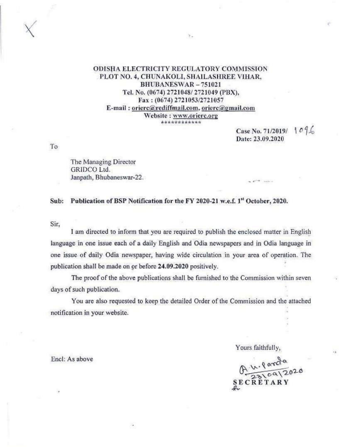#### **ODISHA ELECTRICITY REGULATORY COMMISSION** PLOT NO. 4, CHUNAKOLI, SHAILASHREE VIHAR, BHUBANESWAR-751021 Tel. No. (0674) 2721048/2721049 (PBX), Fax: (0674) 2721053/2721057 E-mail: orierc@rediffmail.com, orierc@gmail.com Website: www.orierc.org \*\*\*\*\*\*\*\*\*\*\*

 $\mathcal{L}_{\mathcal{A}}$ 

Case No. 71/2019/ 1096 Date: 23.09.2020

 $-10^{-4}$  and  $-10^{-4}$ 

To

The Managing Director GRIDCO Ltd. Janpath, Bhubaneswar-22.

Publication of BSP Notification for the FY 2020-21 w.e.f. 1st October, 2020. Sub:

Sir.

I am directed to inform that you are required to publish the enclosed matter in English language in one issue each of a daily English and Odia newspapers and in Odia language in one issue of daily Odia newspaper, having wide circulation in your area of operation. The publication shall be made on or before 24.09.2020 positively.

The proof of the above publications shall be furnished to the Commission within seven days of such publication.

You are also requested to keep the detailed Order of the Commission and the attached notification in your website.

Yours faithfully,

A. u. Parda<br>23109/2020 **SECRETARY** 

 $\lambda$ 

Encl: As above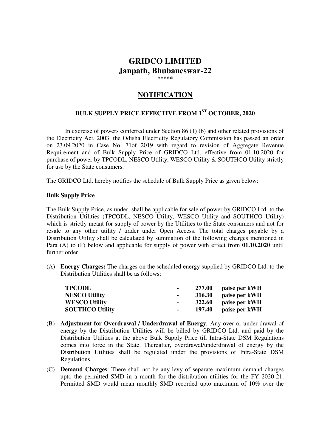### **GRIDCO LIMITED Janpath, Bhubaneswar-22 \*\*\*\*\***

# **NOTIFICATION**

# **BULK SUPPLY PRICE EFFECTIVE FROM 1ST OCTOBER, 2020**

 In exercise of powers conferred under Section 86 (1) (b) and other related provisions of the Electricity Act, 2003, the Odisha Electricity Regulatory Commission has passed an order on 23.09.2020 in Case No. 71of 2019 with regard to revision of Aggregate Revenue Requirement and of Bulk Supply Price of GRIDCO Ltd. effective from 01.10.2020 for purchase of power by TPCODL, NESCO Utility, WESCO Utility & SOUTHCO Utility strictly for use by the State consumers.

The GRIDCO Ltd. hereby notifies the schedule of Bulk Supply Price as given below:

#### **Bulk Supply Price**

The Bulk Supply Price, as under, shall be applicable for sale of power by GRIDCO Ltd. to the Distribution Utilities (TPCODL, NESCO Utility, WESCO Utility and SOUTHCO Utility) which is strictly meant for supply of power by the Utilities to the State consumers and not for resale to any other utility / trader under Open Access. The total charges payable by a Distribution Utility shall be calculated by summation of the following charges mentioned in Para (A) to (F) below and applicable for supply of power with effect from **01.10.2020** until further order.

(A) **Energy Charges:** The charges on the scheduled energy supplied by GRIDCO Ltd. to the Distribution Utilities shall be as follows:

| <b>TPCODL</b>          | ۰   | 277.00        | paise per kWH        |
|------------------------|-----|---------------|----------------------|
| <b>NESCO Utility</b>   |     |               | 316.30 paise per kWH |
| <b>WESCO Utility</b>   | . . | <b>322.60</b> | paise per kWH        |
| <b>SOUTHCO Utility</b> |     | 197.40        | paise per kWH        |

- (B) **Adjustment for Overdrawal / Underdrawal of Energy***:* Any over or under drawal of energy by the Distribution Utilities will be billed by GRIDCO Ltd. and paid by the Distribution Utilities at the above Bulk Supply Price till Intra-State DSM Regulations comes into force in the State. Thereafter, overdrawal/underdrawal of energy by the Distribution Utilities shall be regulated under the provisions of Intra-State DSM Regulations.
- (C) **Demand Charges**: There shall not be any levy of separate maximum demand charges upto the permitted SMD in a month for the distribution utilities for the FY 2020-21. Permitted SMD would mean monthly SMD recorded upto maximum of 10% over the